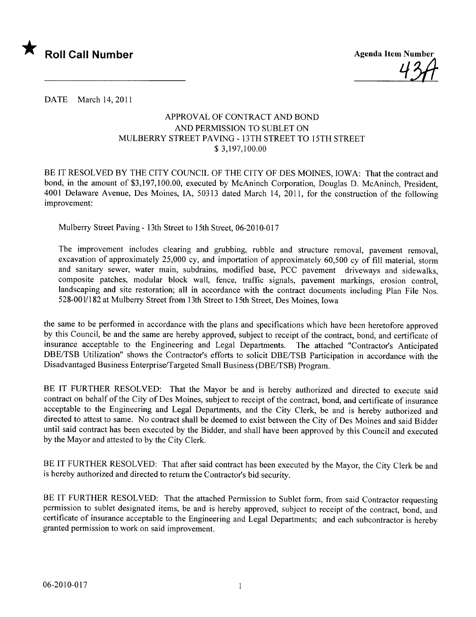

DATE March 14, 2011

## APPROV AL OF CONTRACT AND BOND AND PERMISSION TO SUBLET ON MULBERRY STREET PAVING - 13TH STREET TO 15TH STREET \$ 3,197,100.00

BE IT RESOLVED BY THE CITY COUNCIL OF THE CITY OF DES MOINES, IOWA: That the contract and bond, in the amount of \$3,197,100.00, executed by McAninch Corporation, Douglas D. McAninch, President, 4001 Delaware Avenue, Des Moines, lA, 50313 dated March 14, 2011, for the construction of the following improvement:

Mulberry Street Paving - 13th Street to 15th Street, 06-2010-017

The improvement includes clearing and grubbing, rubble and structure removal, pavement removal, excavation of approximately 25,000 cy, and importation of approximately 60,500 cy of fill material, storm and sanitary sewer, water main, subdrains, modified base, PCC pavement driveways and sidewalks, composite patches, modular block wall, fence, traffic signals, pavement markings, erosion control, landscaping and site restoration; all in accordance with the contract documents including Plan File Nos. 528-001/182 at Mulberry Street from 13th Street to 15th Street, Des Moines, Iowa

the same to be performed in accordance with the plans and specifications which have been heretofore approved by this Council, be and the same are hereby approved, subject to receipt of the contract, bond, and certificate of insurance acceptable to the Engineering and Legal Departments. The attached "Contractor's Anticipated DBE/TSB Utilization" shows the Contractor's efforts to solicit DBE/TSB Participation in accordance with the Disadvantaged Business Enterprise/Targeted Small Business (DBE/TSB) Program.

BE IT FURTHER RESOLVED: That the Mayor be and is hereby authorized and directed to execute said contract on behalf of the City of Des Moines, subject to receipt of the contract, bond, and certificate of insurance acceptable to the Engineering and Legal Departments, and the City Clerk, be and is hereby authorized and directed to attest to same. No contract shall be deemed to exist between the City of Des Moines and said Bidder until said contract has been executed by the Bidder, and shall have been approved by this Council and executed by the Mayor and attested to by the City Clerk.

BE IT FURTHER RESOLVED: That after said contract has been executed by the Mayor, the City Clerk be and is hereby authorized and directed to return the Contractor's bid security.

BE IT FURTHER RESOLVED: That the attached Permission to Sublet form, from said Contractor requesting permission to sublet designated items, be and is hereby approved, subject to receipt of the contract, bond, and certificate of insurance acceptable to the Engineering and Legal Departments; and each subcontractor is hereby granted permission to work on said improvement.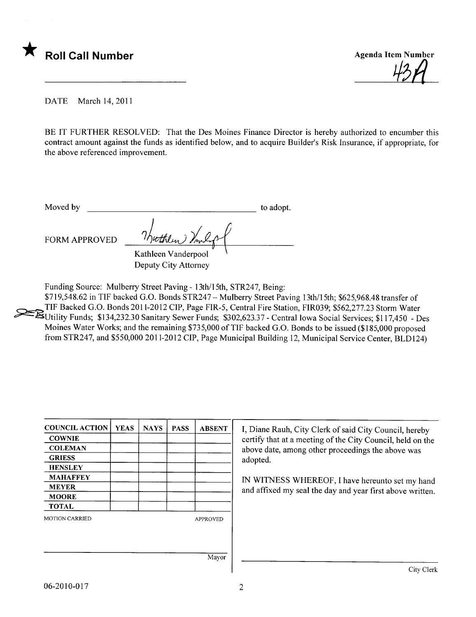



DATE March 14, 2011

BE IT FURTHER RESOLVED: That the Des Moines Finance Director is hereby authorized to encumber this contract amount against the funds as identified below, and to acquire Builder's Risk Insurance, if appropriate, for the above referenced improvement.

Moved by to adopt.

FORM APPROVED  $\frac{7h\nu t\hbar l\nu v}{m^2}$ Kathleen Vanderpool

Deputy City Attorney

Funding Source: Mulberry Street Paving - i 3th/15th, STR247, Being:

\$719,548.62 in TIF backed G.O. Bonds STR247 - Mulberry Street Paving 13th/15th; \$625,968.48 transfer of TIF Backed G.O. Bonds 2011-2012 CIP, Page FIR-5, Central Fire Station, FIR039; \$562,277.23 Storm Water ~Utility Funds; \$134,232.30 Sanitary Sewer Funds; \$302,623.37 - Central Iowa Social Services; \$1 17,450 - Des Moines Water Works; and the remaining \$735,000 of TIF backed G.O. Bonds to be issued (\$185,000 proposed from STR247, and \$550,000 2011-2012 CIP, Page Municipal Building 12, Municipal Service Center, BLD124)

| <b>COUNCIL ACTION</b> | <b>YEAS</b> | <b>NAYS</b> | <b>PASS</b> | <b>ABSENT</b>   | I, Diane Rauh, City Clerk of said City Council, hereby     |
|-----------------------|-------------|-------------|-------------|-----------------|------------------------------------------------------------|
| <b>COWNIE</b>         |             |             |             |                 | certify that at a meeting of the City Council, held on the |
| <b>COLEMAN</b>        |             |             |             |                 | above date, among other proceedings the above was          |
| <b>GRIESS</b>         |             |             |             |                 | adopted.                                                   |
| <b>HENSLEY</b>        |             |             |             |                 |                                                            |
| <b>MAHAFFEY</b>       |             |             |             |                 | IN WITNESS WHEREOF, I have hereunto set my hand            |
| <b>MEYER</b>          |             |             |             |                 | and affixed my seal the day and year first above written.  |
| <b>MOORE</b>          |             |             |             |                 |                                                            |
| <b>TOTAL</b>          |             |             |             |                 |                                                            |
| <b>MOTION CARRIED</b> |             |             |             | <b>APPROVED</b> |                                                            |
|                       |             |             |             |                 |                                                            |
|                       |             |             |             |                 |                                                            |
|                       |             |             |             | Mayor           |                                                            |
|                       |             |             |             |                 | City Clerk                                                 |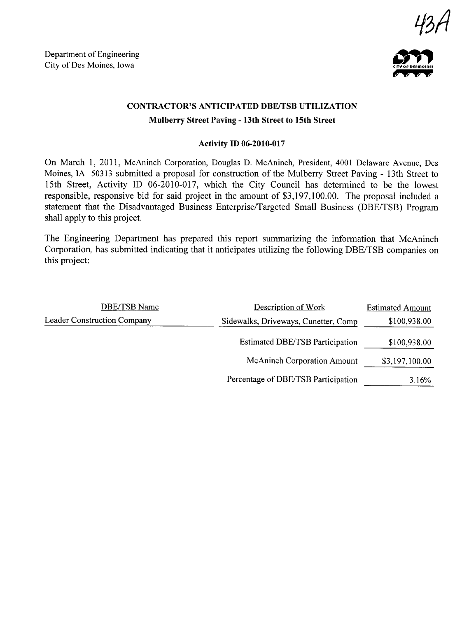Department of Engineering Department of Engineering<br>City of Des Moines, Iowa





## CONTRACTOR'S ANTICIPATED DBE/TSB UTILIZATION Mulberry Street Paving - 13th Street to 15th Street

## Activity ID 06-2010-017

On March 1, 2011, McAninch Corporation, Douglas D. McAninch, President, 4001 Delaware Avenue, Des Moines, IA 50313 submitted a proposal for construction of the Mulberry Street Paving - 13th Street to 15th Street, Activity ID 06-2010-017, which the City Council has determined to be the lowest responsible, responsive bid for said project in the amount of \$3,197,100.00. The proposal included a statement that the Disadvantaged Business Enterprise/Targeted Small Business (DBE/TSB) Program shall apply to this project.

The Engineering Department has prepared this report summarizing the information that McAninch Corporation, has submitted indicating that it anticipates utilizing the following DBE/TSB companies on this project:

| <b>DBE/TSB Name</b>         | Description of Work                    | <b>Estimated Amount</b> |
|-----------------------------|----------------------------------------|-------------------------|
| Leader Construction Company | Sidewalks, Driveways, Cunetter, Comp   | \$100,938.00            |
|                             | <b>Estimated DBE/TSB Participation</b> | \$100,938.00            |
|                             | <b>McAninch Corporation Amount</b>     | \$3,197,100.00          |
|                             | Percentage of DBE/TSB Participation    | 3.16%                   |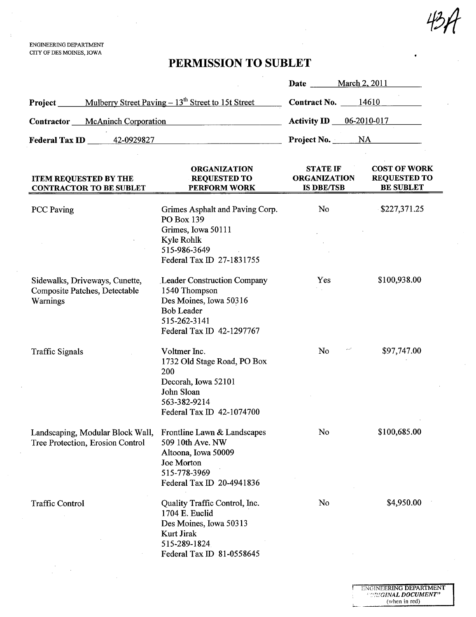ENGINEERING DEPARTMENT CITY OF DES MOINES, IOWA

 $\sim$ 

## PERMISSION TO SUBLET

|                                                                               |                                                                                                                                                 | Date _______ March 2, 2011                                  |                                                                |
|-------------------------------------------------------------------------------|-------------------------------------------------------------------------------------------------------------------------------------------------|-------------------------------------------------------------|----------------------------------------------------------------|
| <b>Project</b> Mulberry Street Paving – 13 <sup>th</sup> Street to 15t Street |                                                                                                                                                 | Contract No. 14610                                          |                                                                |
| Contractor McAninch Corporation                                               |                                                                                                                                                 | <b>Activity ID</b> $\underline{\hspace{1cm} 06-2010-017}$   |                                                                |
| <b>Federal Tax ID</b> 42-0929827                                              |                                                                                                                                                 | Project No. NA                                              |                                                                |
| <b>ITEM REQUESTED BY THE</b><br><b>CONTRACTOR TO BE SUBLET</b>                | <b>ORGANIZATION</b><br><b>REQUESTED TO</b><br>PERFORM WORK                                                                                      | <b>STATE IF</b><br><b>ORGANIZATION</b><br><b>IS DBE/TSB</b> | <b>COST OF WORK</b><br><b>REQUESTED TO</b><br><b>BE SUBLET</b> |
| <b>PCC</b> Paving                                                             | Grimes Asphalt and Paving Corp.<br>PO Box 139                                                                                                   | No                                                          | \$227,371.25                                                   |
|                                                                               | Grimes, Iowa 50111<br>Kyle Rohlk<br>515-986-3649<br>Federal Tax ID 27-1831755                                                                   |                                                             |                                                                |
| Sidewalks, Driveways, Cunette,<br>Composite Patches, Detectable<br>Warnings   | <b>Leader Construction Company</b><br>1540 Thompson<br>Des Moines, Iowa 50316<br><b>Bob Leader</b><br>515-262-3141<br>Federal Tax ID 42-1297767 | Yes                                                         | \$100,938.00                                                   |
| <b>Traffic Signals</b>                                                        | Voltmer Inc.<br>1732 Old Stage Road, PO Box<br>200<br>Decorah, Iowa 52101<br>John Sloan<br>563-382-9214<br>Federal Tax ID 42-1074700            | No                                                          | \$97,747.00                                                    |
| Landscaping, Modular Block Wall,<br>Tree Protection, Erosion Control          | Frontline Lawn & Landscapes<br>509 10th Ave. NW<br>Altoona, Iowa 50009<br>Joe Morton<br>515-778-3969<br>Federal Tax ID 20-4941836               | No                                                          | \$100,685.00                                                   |
| <b>Traffic Control</b>                                                        | Quality Traffic Control, Inc.<br>1704 E. Euclid<br>Des Moines, Iowa 50313<br>Kurt Jirak<br>515-289-1824<br>Federal Tax ID 81-0558645            | No                                                          | \$4,950.00                                                     |

ŗ

Ł

424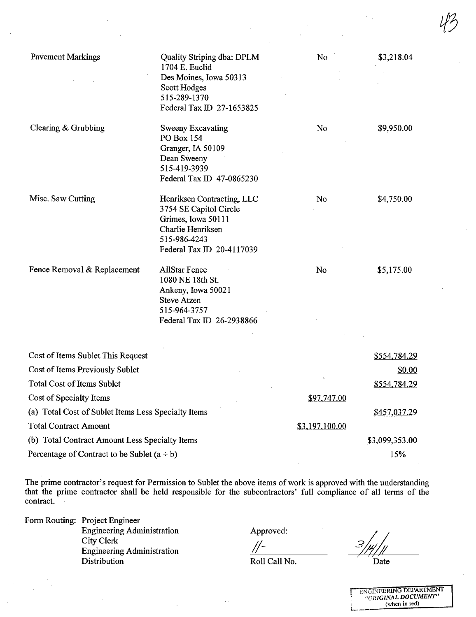| <b>Pavement Markings</b>                            | <b>Quality Striping dba: DPLM</b><br>1704 E. Euclid  | No             | \$3,218.04          |
|-----------------------------------------------------|------------------------------------------------------|----------------|---------------------|
|                                                     | Des Moines, Iowa 50313                               |                |                     |
|                                                     | Scott Hodges                                         |                |                     |
|                                                     | 515-289-1370                                         |                |                     |
|                                                     | Federal Tax ID 27-1653825                            |                |                     |
| Clearing & Grubbing                                 | Sweeny Excavating                                    | No             | \$9,950.00          |
|                                                     | PO Box 154                                           |                |                     |
|                                                     | Granger, IA 50109                                    |                |                     |
|                                                     | Dean Sweeny<br>515-419-3939                          |                |                     |
|                                                     | Federal Tax ID 47-0865230                            |                |                     |
| Misc. Saw Cutting                                   |                                                      | No             |                     |
|                                                     | Henriksen Contracting, LLC<br>3754 SE Capitol Circle |                | \$4,750.00          |
|                                                     | Grimes, Iowa 50111                                   |                |                     |
|                                                     | Charlie Henriksen                                    |                |                     |
|                                                     | 515-986-4243                                         |                |                     |
|                                                     | Federal Tax ID 20-4117039                            |                |                     |
| Fence Removal & Replacement                         | <b>AllStar Fence</b>                                 | No             | \$5,175.00          |
|                                                     | 1080 NE 18th St.                                     |                |                     |
|                                                     | Ankeny, Iowa 50021                                   |                |                     |
|                                                     | <b>Steve Atzen</b><br>515-964-3757                   |                |                     |
|                                                     | Federal Tax ID 26-2938866                            |                |                     |
|                                                     |                                                      |                |                     |
| Cost of Items Sublet This Request                   |                                                      |                | <u>\$554,784.29</u> |
| Cost of Items Previously Sublet                     |                                                      |                | \$0.00              |
| Total Cost of Items Sublet                          |                                                      |                | \$554,784.29        |
| Cost of Specialty Items                             |                                                      | \$97,747.00    |                     |
| (a) Total Cost of Sublet Items Less Specialty Items |                                                      |                | \$457,037.29        |
| <b>Total Contract Amount</b>                        |                                                      | \$3,197,100.00 |                     |
| (b) Total Contract Amount Less Specialty Items      |                                                      |                | \$3,099,353.00      |
| Percentage of Contract to be Sublet $(a + b)$       |                                                      |                | 15%                 |
|                                                     |                                                      |                |                     |

Percentage of Contract to be Sublet  $(a + b)$ 

The prime contractor's request for Permission to Sublet the above items of work is approved with the understanding that the prime contractor shall be held responsible for the subcontractors' full compliance of all terms of the contract.

Form Routing: Project Engineer Engineering Administration City Clerk Engineering Administration Distribution

Roll Call No.

/1-

Approved:<br> $\frac{1}{2}$ <br>Roll Call No.  $\frac{3}{2}$ <br>Date

ENGINEERING DEPARTMENT "ORiGINAL DOCUMENT" (when in red)

 $45$